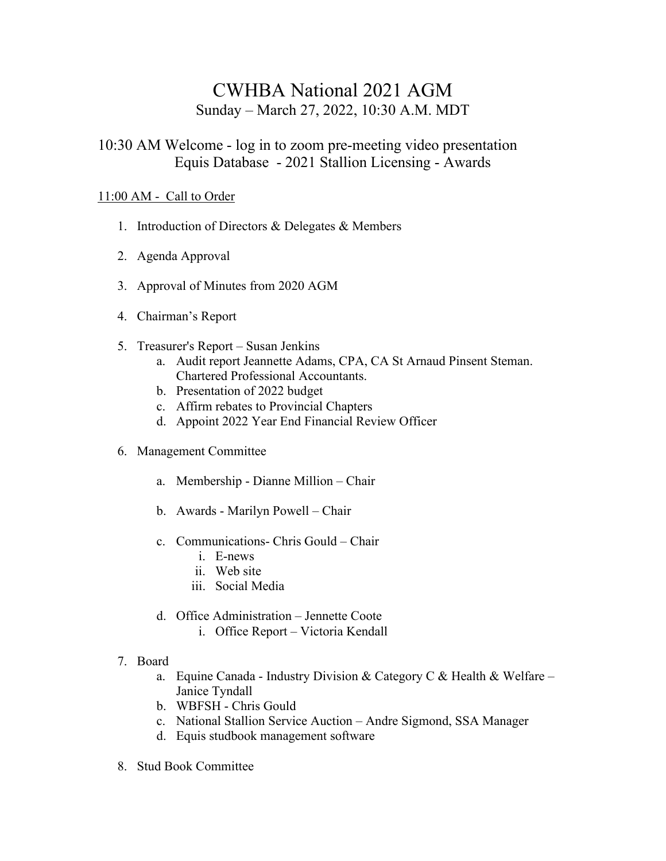## CWHBA National 2021 AGM Sunday – March 27, 2022, 10:30 A.M. MDT

## 10:30 AM Welcome - log in to zoom pre-meeting video presentation Equis Database - 2021 Stallion Licensing - Awards

## 11:00 AM - Call to Order

- 1. Introduction of Directors & Delegates & Members
- 2. Agenda Approval
- 3. Approval of Minutes from 2020 AGM
- 4. Chairman's Report
- 5. Treasurer's Report Susan Jenkins
	- a. Audit report Jeannette Adams, CPA, CA St Arnaud Pinsent Steman. Chartered Professional Accountants.
	- b. Presentation of 2022 budget
	- c. Affirm rebates to Provincial Chapters
	- d. Appoint 2022 Year End Financial Review Officer
- 6. Management Committee
	- a. Membership Dianne Million Chair
	- b. Awards Marilyn Powell Chair
	- c. Communications- Chris Gould Chair
		- i. E-news
		- ii. Web site
		- iii. Social Media
	- d. Office Administration Jennette Coote
		- i. Office Report Victoria Kendall
- 7. Board
	- a. Equine Canada Industry Division & Category C & Health & Welfare Janice Tyndall
	- b. WBFSH Chris Gould
	- c. National Stallion Service Auction Andre Sigmond, SSA Manager
	- d. Equis studbook management software
- 8. Stud Book Committee